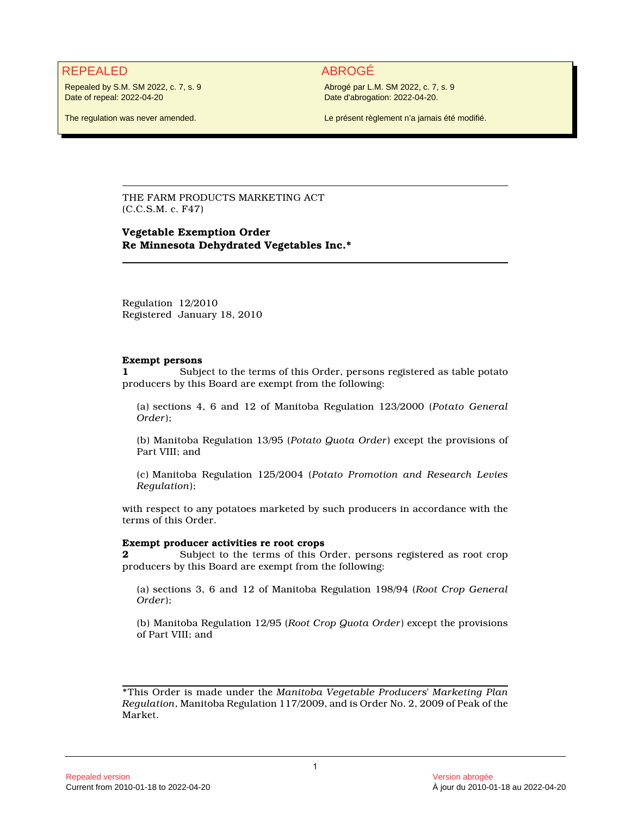# REPEALED ABROGÉ

Repealed by S.M. SM 2022, c. 7, s. 9 Date of repeal: 2022-04-20

The regulation was never amended.

Abrogé par L.M. SM 2022, c. 7, s. 9 Date d'abrogation: 2022-04-20.

Le présent règlement n'a jamais été modifié.

THE FARM PRODUCTS MARKETING ACT (C.C.S.M. c. F47)

## **Vegetable Exemption Order Re Minnesota Dehydrated Vegetables Inc.\***

Regulation 12/2010 Registered January 18, 2010

#### **Exempt persons**

**1** Subject to the terms of this Order, persons registered as table potato producers by this Board are exempt from the following:

(a) sections 4, 6 and 12 of Manitoba Regulation 123/2000 (*Potato General Order*);

(b) Manitoba Regulation 13/95 (*Potato Quota Order*) except the provisions of Part VIII; and

(c) Manitoba Regulation 125/2004 (*Potato Promotion and Research Levies Regulation*);

with respect to any potatoes marketed by such producers in accordance with the terms of this Order.

#### **Exempt producer activities re root crops**

**2** Subject to the terms of this Order, persons registered as root crop producers by this Board are exempt from the following:

(a) sections 3, 6 and 12 of Manitoba Regulation 198/94 (*Root Crop General Order*);

(b) Manitoba Regulation 12/95 (*Root Crop Quota Order*) except the provisions of Part VIII; and

\*This Order is made under the *Manitoba Vegetable Producers' Marketing Plan Regulation*, Manitoba Regulation 117/2009, and is Order No. 2, 2009 of Peak of the Market.